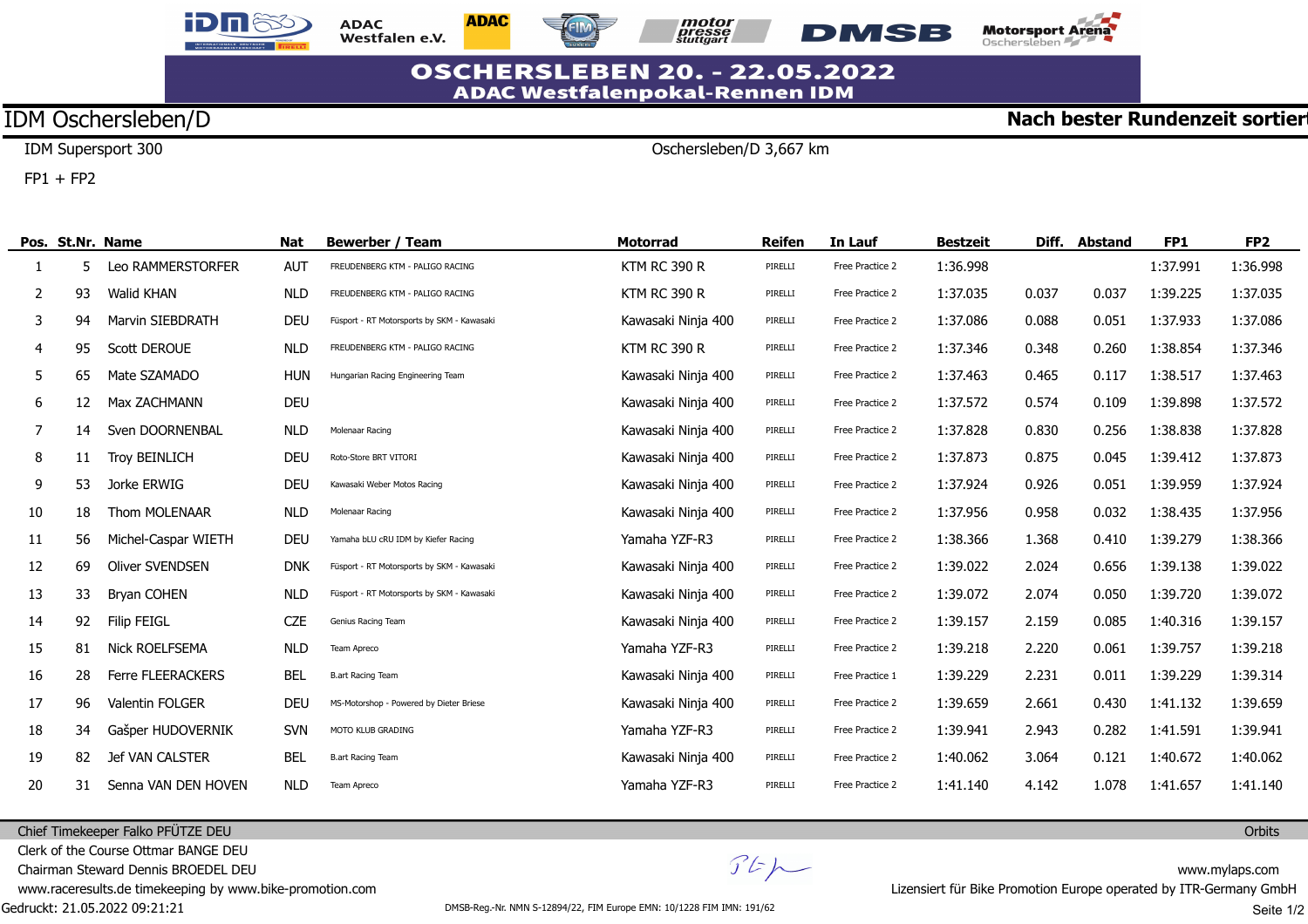





Oschersleben/D 3,667 km



## **OSCHERSLEBEN 20. - 22.05.2022 ADAC Westfalenpokal-Rennen IDM**

## IDM Oschersleben/D

IDM Supersport 300

 $FP1 + FP2$ 

÷,

|    |    | Pos. St.Nr. Name        | <b>Nat</b> | <b>Bewerber / Team</b>                     | <b>Motorrad</b>     | <b>Reifen</b> | In Lauf         | <b>Bestzeit</b> | Diff. | Abstand | FP1      | FP <sub>2</sub> |
|----|----|-------------------------|------------|--------------------------------------------|---------------------|---------------|-----------------|-----------------|-------|---------|----------|-----------------|
|    |    | Leo RAMMERSTORFER       | <b>AUT</b> | FREUDENBERG KTM - PALIGO RACING            | <b>KTM RC 390 R</b> | PIRELLI       | Free Practice 2 | 1:36.998        |       |         | 1:37.991 | 1:36.998        |
| 2  | 93 | <b>Walid KHAN</b>       | <b>NLD</b> | FREUDENBERG KTM - PALIGO RACING            | <b>KTM RC 390 R</b> | PIRELLI       | Free Practice 2 | 1:37.035        | 0.037 | 0.037   | 1:39.225 | 1:37.035        |
| 3  | 94 | <b>Marvin SIEBDRATH</b> | <b>DEU</b> | Füsport - RT Motorsports by SKM - Kawasaki | Kawasaki Ninja 400  | PIRELLI       | Free Practice 2 | 1:37.086        | 0.088 | 0.051   | 1:37.933 | 1:37.086        |
| 4  | 95 | <b>Scott DEROUE</b>     | <b>NLD</b> | FREUDENBERG KTM - PALIGO RACING            | <b>KTM RC 390 R</b> | PIRELLI       | Free Practice 2 | 1:37.346        | 0.348 | 0.260   | 1:38.854 | 1:37.346        |
| 5. | 65 | Mate SZAMADO            | <b>HUN</b> | Hungarian Racing Engineering Team          | Kawasaki Ninja 400  | PIRELLI       | Free Practice 2 | 1:37.463        | 0.465 | 0.117   | 1:38.517 | 1:37.463        |
| 6  | 12 | Max ZACHMANN            | <b>DEU</b> |                                            | Kawasaki Ninja 400  | PIRELLI       | Free Practice 2 | 1:37.572        | 0.574 | 0.109   | 1:39.898 | 1:37.572        |
| 7  | 14 | Sven DOORNENBAL         | <b>NLD</b> | Molenaar Racing                            | Kawasaki Ninja 400  | PIRELLI       | Free Practice 2 | 1:37.828        | 0.830 | 0.256   | 1:38.838 | 1:37.828        |
| 8  | 11 | <b>Troy BEINLICH</b>    | <b>DEU</b> | Roto-Store BRT VITORI                      | Kawasaki Ninja 400  | PIRELLI       | Free Practice 2 | 1:37.873        | 0.875 | 0.045   | 1:39.412 | 1:37.873        |
| 9  | 53 | Jorke ERWIG             | <b>DEU</b> | Kawasaki Weber Motos Racing                | Kawasaki Ninja 400  | PIRELLI       | Free Practice 2 | 1:37.924        | 0.926 | 0.051   | 1:39.959 | 1:37.924        |
| 10 | 18 | Thom MOLENAAR           | <b>NLD</b> | Molenaar Racing                            | Kawasaki Ninja 400  | PIRELLI       | Free Practice 2 | 1:37.956        | 0.958 | 0.032   | 1:38.435 | 1:37.956        |
| 11 | 56 | Michel-Caspar WIETH     | <b>DEU</b> | Yamaha bLU cRU IDM by Kiefer Racing        | Yamaha YZF-R3       | PIRELLI       | Free Practice 2 | 1:38.366        | 1.368 | 0.410   | 1:39.279 | 1:38.366        |
| 12 | 69 | <b>Oliver SVENDSEN</b>  | <b>DNK</b> | Füsport - RT Motorsports by SKM - Kawasaki | Kawasaki Ninja 400  | PIRELLI       | Free Practice 2 | 1:39.022        | 2.024 | 0.656   | 1:39.138 | 1:39.022        |
| 13 | 33 | <b>Bryan COHEN</b>      | <b>NLD</b> | Füsport - RT Motorsports by SKM - Kawasaki | Kawasaki Ninja 400  | PIRELLI       | Free Practice 2 | 1:39.072        | 2.074 | 0.050   | 1:39.720 | 1:39.072        |
| 14 | 92 | <b>Filip FEIGL</b>      | <b>CZE</b> | Genius Racing Team                         | Kawasaki Ninja 400  | PIRELLI       | Free Practice 2 | 1:39.157        | 2.159 | 0.085   | 1:40.316 | 1:39.157        |
| 15 | 81 | <b>Nick ROELFSEMA</b>   | <b>NLD</b> | Team Apreco                                | Yamaha YZF-R3       | PIRELLI       | Free Practice 2 | 1:39.218        | 2.220 | 0.061   | 1:39.757 | 1:39.218        |
| 16 | 28 | Ferre FLEERACKERS       | <b>BEL</b> | <b>B.art Racing Team</b>                   | Kawasaki Ninja 400  | PIRELLI       | Free Practice 1 | 1:39.229        | 2.231 | 0.011   | 1:39.229 | 1:39.314        |
| 17 | 96 | <b>Valentin FOLGER</b>  | <b>DEU</b> | MS-Motorshop - Powered by Dieter Briese    | Kawasaki Ninja 400  | PIRELLI       | Free Practice 2 | 1:39.659        | 2.661 | 0.430   | 1:41.132 | 1:39.659        |
| 18 | 34 | Gašper HUDOVERNIK       | <b>SVN</b> | MOTO KLUB GRADING                          | Yamaha YZF-R3       | PIRELLI       | Free Practice 2 | 1:39.941        | 2.943 | 0.282   | 1:41.591 | 1:39.941        |
| 19 | 82 | Jef VAN CALSTER         | <b>BEL</b> | <b>B.art Racing Team</b>                   | Kawasaki Ninja 400  | PIRELLI       | Free Practice 2 | 1:40.062        | 3.064 | 0.121   | 1:40.672 | 1:40.062        |
| 20 | 31 | Senna VAN DEN HOVEN     | <b>NLD</b> | Team Apreco                                | Yamaha YZF-R3       | PIRELLI       | Free Practice 2 | 1:41.140        | 4.142 | 1.078   | 1:41.657 | 1:41.140        |

Chief Timekeeper Falko PFÜTZE DEU

Clerk of the Course Ottmar BANGE DEU

Chairman Steward Dennis BROEDEL DEU

www.raceresults.de timekeeping by www.bike-promotion.com

Gedruckt: 21.05.2022 09:21:21

 $\mathcal{F}E\mathcal{H}$ 

**Orbits** 

**Nach bester Rundenzeit sortier**